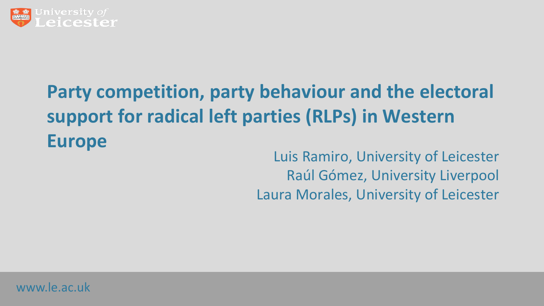

# **Party competition, party behaviour and the electoral support for radical left parties (RLPs) in Western Europe**

Luis Ramiro, University of Leicester Raúl Gómez, University Liverpool Laura Morales, University of Leicester

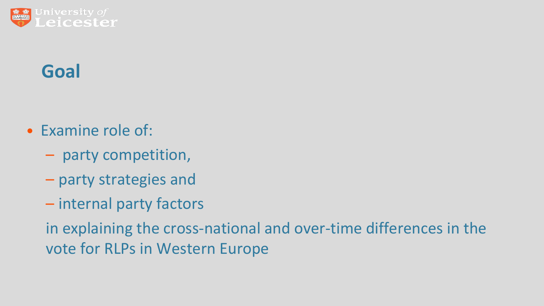

### **Goal**

- Examine role of:
	- party competition,
	- party strategies and
	- internal party factors

in explaining the cross-national and over-time differences in the vote for RLPs in Western Europe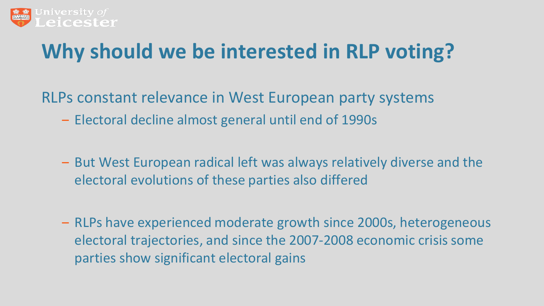

# **Why should we be interested in RLP voting?**

RLPs constant relevance in West European party systems

- ‒ Electoral decline almost general until end of 1990s
- ‒ But West European radical left was always relatively diverse and the electoral evolutions of these parties also differed
- ‒ RLPs have experienced moderate growth since 2000s, heterogeneous electoral trajectories, and since the 2007-2008 economic crisis some parties show significant electoral gains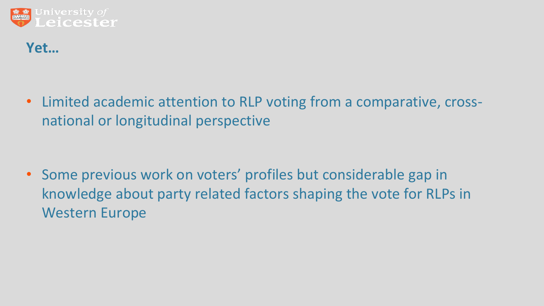

#### **Yet…**

• Limited academic attention to RLP voting from a comparative, crossnational or longitudinal perspective

• Some previous work on voters' profiles but considerable gap in knowledge about party related factors shaping the vote for RLPs in Western Europe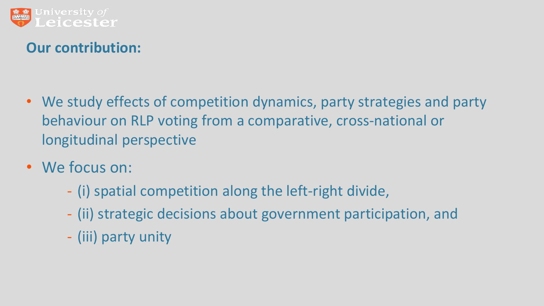

#### **Our contribution:**

- We study effects of competition dynamics, party strategies and party behaviour on RLP voting from a comparative, cross-national or longitudinal perspective
- We focus on:
	- (i) spatial competition along the left-right divide,
	- (ii) strategic decisions about government participation, and
	- (iii) party unity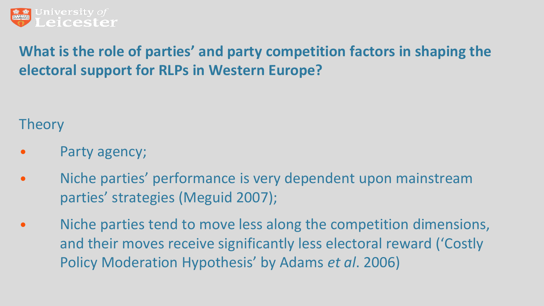

### **What is the role of parties' and party competition factors in shaping the electoral support for RLPs in Western Europe?**

**Theory** 

- Party agency;
- Niche parties' performance is very dependent upon mainstream parties' strategies (Meguid 2007);
- Niche parties tend to move less along the competition dimensions, and their moves receive significantly less electoral reward ('Costly Policy Moderation Hypothesis' by Adams *et al*. 2006)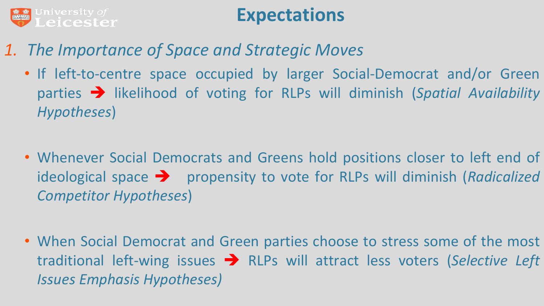

### **Expectations**

- *1. The Importance of Space and Strategic Moves*
	- If left-to-centre space occupied by larger Social-Democrat and/or Green parties  $\rightarrow$  likelihood of voting for RLPs will diminish (*Spatial Availability Hypotheses*)
	- Whenever Social Democrats and Greens hold positions closer to left end of ideological space  $\rightarrow$  propensity to vote for RLPs will diminish (*Radicalized Competitor Hypotheses*)
	- When Social Democrat and Green parties choose to stress some of the most traditional left-wing issues RLPs will attract less voters (*Selective Left Issues Emphasis Hypotheses)*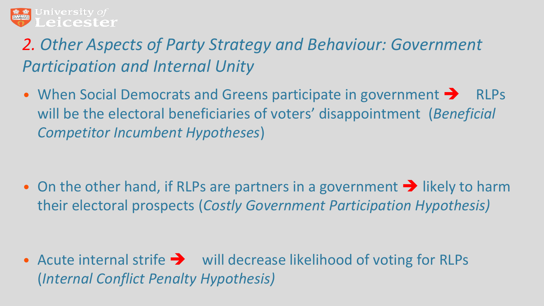

### *2. Other Aspects of Party Strategy and Behaviour: Government Participation and Internal Unity*

• When Social Democrats and Greens participate in government  $\rightarrow$  RLPs will be the electoral beneficiaries of voters' disappointment (*Beneficial Competitor Incumbent Hypotheses*)

• On the other hand, if RLPs are partners in a government  $\rightarrow$  likely to harm their electoral prospects (*Costly Government Participation Hypothesis)* 

• Acute internal strife  $\rightarrow$  will decrease likelihood of voting for RLPs (*Internal Conflict Penalty Hypothesis)*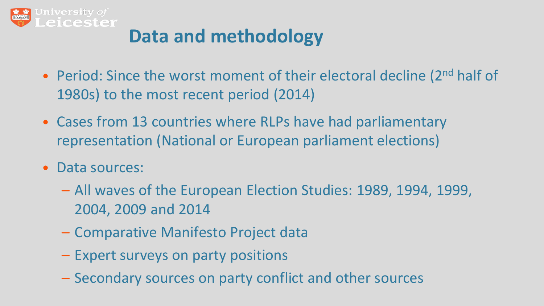

## **Data and methodology**

- Period: Since the worst moment of their electoral decline (2nd half of 1980s) to the most recent period (2014)
- Cases from 13 countries where RLPs have had parliamentary representation (National or European parliament elections)
- Data sources:
	- All waves of the European Election Studies: 1989, 1994, 1999, 2004, 2009 and 2014
	- Comparative Manifesto Project data
	- Expert surveys on party positions
	- Secondary sources on party conflict and other sources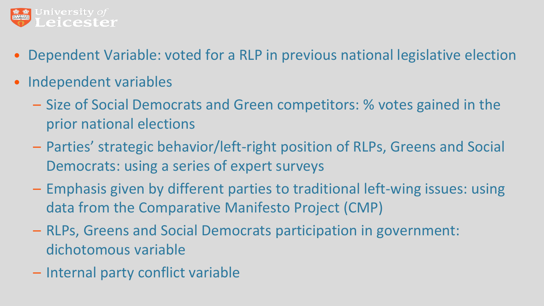

- Dependent Variable: voted for a RLP in previous national legislative election
- Independent variables
	- Size of Social Democrats and Green competitors: % votes gained in the prior national elections
	- Parties' strategic behavior/left-right position of RLPs, Greens and Social Democrats: using a series of expert surveys
	- Emphasis given by different parties to traditional left-wing issues: using data from the Comparative Manifesto Project (CMP)
	- RLPs, Greens and Social Democrats participation in government: dichotomous variable
	- Internal party conflict variable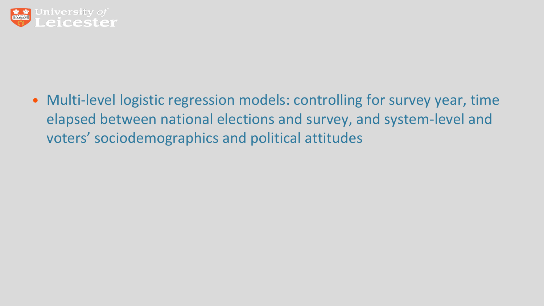

• Multi-level logistic regression models: controlling for survey year, time elapsed between national elections and survey, and system-level and voters' sociodemographics and political attitudes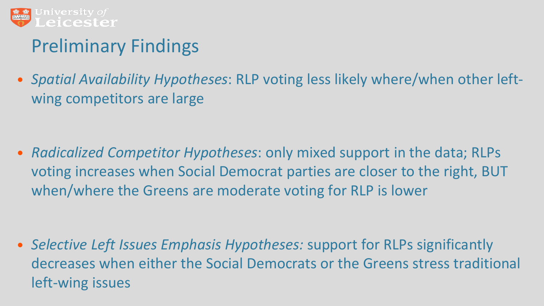

### Preliminary Findings

• *Spatial Availability Hypotheses*: RLP voting less likely where/when other leftwing competitors are large

• *Radicalized Competitor Hypotheses*: only mixed support in the data; RLPs voting increases when Social Democrat parties are closer to the right, BUT when/where the Greens are moderate voting for RLP is lower

• *Selective Left Issues Emphasis Hypotheses:* support for RLPs significantly decreases when either the Social Democrats or the Greens stress traditional left-wing issues